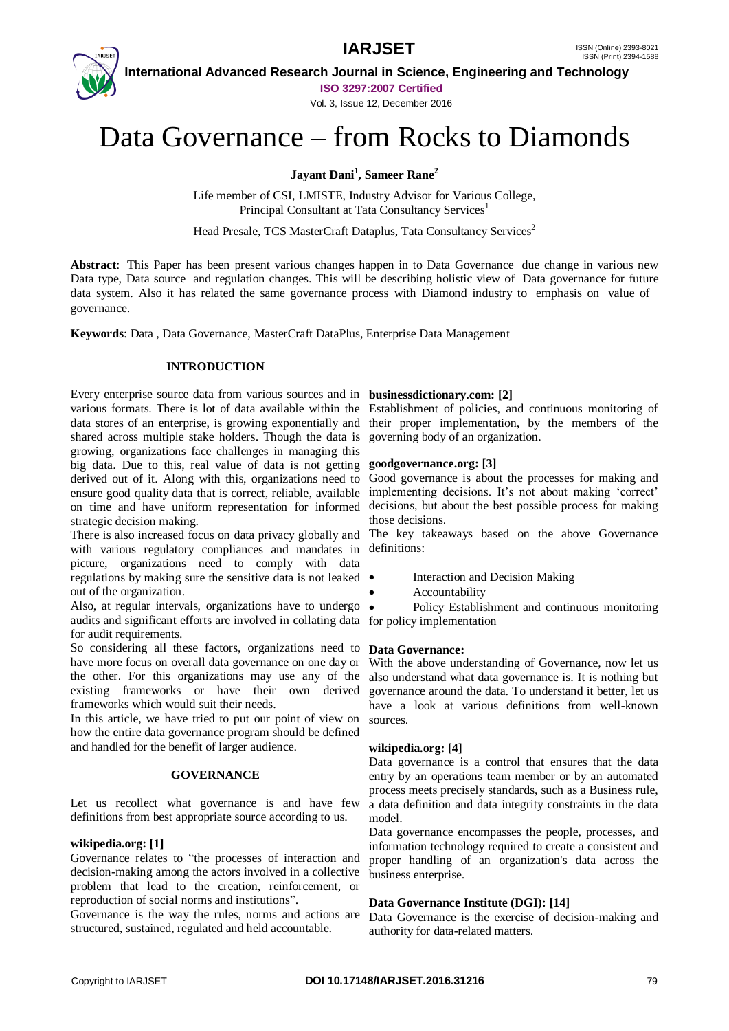

 **International Advanced Research Journal in Science, Engineering and Technology ISO 3297:2007 Certified**

Vol. 3, Issue 12, December 2016

# Data Governance – from Rocks to Diamonds

**Jayant Dani<sup>1</sup> , Sameer Rane<sup>2</sup>**

Life member of CSI, LMISTE, Industry Advisor for Various College, Principal Consultant at Tata Consultancy Services<sup>1</sup>

Head Presale, TCS MasterCraft Dataplus, Tata Consultancy Services<sup>2</sup>

**Abstract**: This Paper has been present various changes happen in to Data Governance due change in various new Data type, Data source and regulation changes. This will be describing holistic view of Data governance for future data system. Also it has related the same governance process with Diamond industry to emphasis on value of governance.

**Keywords**: Data , Data Governance, MasterCraft DataPlus, Enterprise Data Management

#### **INTRODUCTION**

Every enterprise source data from various sources and in **businessdictionary.com: [2]** various formats. There is lot of data available within the Establishment of policies, and continuous monitoring of shared across multiple stake holders. Though the data is governing body of an organization. growing, organizations face challenges in managing this big data. Due to this, real value of data is not getting derived out of it. Along with this, organizations need to ensure good quality data that is correct, reliable, available implementing decisions. It's not about making 'correct' on time and have uniform representation for informed strategic decision making.

There is also increased focus on data privacy globally and with various regulatory compliances and mandates in picture, organizations need to comply with data regulations by making sure the sensitive data is not leaked out of the organization.

Also, at regular intervals, organizations have to undergo  $\bullet$ audits and significant efforts are involved in collating data for policy implementation for audit requirements.

So considering all these factors, organizations need to **Data Governance:** have more focus on overall data governance on one day or the other. For this organizations may use any of the also understand what data governance is. It is nothing but existing frameworks or have their own derived frameworks which would suit their needs.

In this article, we have tried to put our point of view on how the entire data governance program should be defined and handled for the benefit of larger audience.

#### **GOVERNANCE**

Let us recollect what governance is and have few definitions from best appropriate source according to us.

#### **wikipedia.org: [1]**

Governance relates to "the processes of interaction and decision-making among the actors involved in a collective problem that lead to the creation, reinforcement, or reproduction of social norms and institutions".

Governance is the way the rules, norms and actions are structured, sustained, regulated and held accountable.

data stores of an enterprise, is growing exponentially and their proper implementation, by the members of the

### **goodgovernance.org: [3]**

Good governance is about the processes for making and decisions, but about the best possible process for making those decisions.

The key takeaways based on the above Governance definitions:

- Interaction and Decision Making
- Accountability

Policy Establishment and continuous monitoring

With the above understanding of Governance, now let us governance around the data. To understand it better, let us have a look at various definitions from well-known sources.

#### **wikipedia.org: [4]**

Data governance is a control that ensures that the data entry by an operations team member or by an automated process meets precisely standards, such as a Business rule, a data definition and data integrity constraints in the data model.

Data governance encompasses the people, processes, and information technology required to create a consistent and proper handling of an organization's data across the business enterprise.

#### **Data Governance Institute (DGI): [14]**

Data Governance is the exercise of decision-making and authority for data-related matters.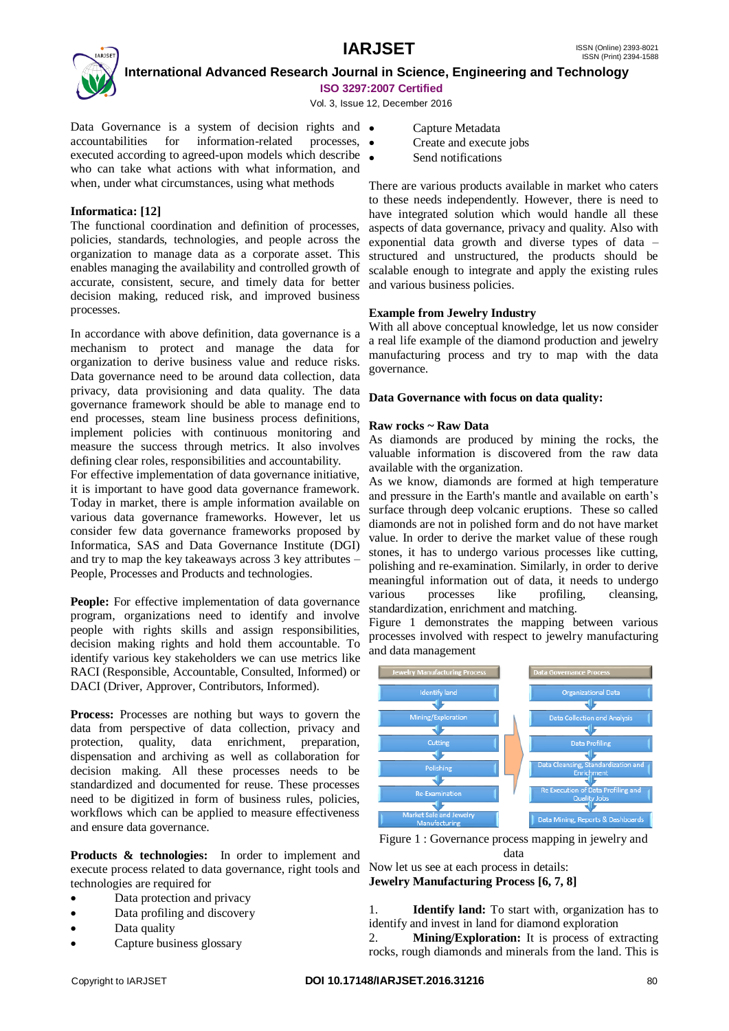

 **International Advanced Research Journal in Science, Engineering and Technology ISO 3297:2007 Certified**

Vol. 3, Issue 12, December 2016

Data Governance is a system of decision rights and  $\bullet$ accountabilities for information-related processes, executed according to agreed-upon models which describe who can take what actions with what information, and when, under what circumstances, using what methods

### **Informatica: [12]**

The functional coordination and definition of processes, policies, standards, technologies, and people across the organization to manage data as a corporate asset. This enables managing the availability and controlled growth of accurate, consistent, secure, and timely data for better decision making, reduced risk, and improved business processes.

In accordance with above definition, data governance is a mechanism to protect and manage the data for organization to derive business value and reduce risks. Data governance need to be around data collection, data privacy, data provisioning and data quality. The data governance framework should be able to manage end to end processes, steam line business process definitions, implement policies with continuous monitoring and measure the success through metrics. It also involves defining clear roles, responsibilities and accountability.

For effective implementation of data governance initiative, it is important to have good data governance framework. Today in market, there is ample information available on various data governance frameworks. However, let us consider few data governance frameworks proposed by Informatica, SAS and Data Governance Institute (DGI) and try to map the key takeaways across 3 key attributes – People, Processes and Products and technologies.

**People:** For effective implementation of data governance program, organizations need to identify and involve people with rights skills and assign responsibilities, decision making rights and hold them accountable. To identify various key stakeholders we can use metrics like RACI (Responsible, Accountable, Consulted, Informed) or DACI (Driver, Approver, Contributors, Informed).

Process: Processes are nothing but ways to govern the data from perspective of data collection, privacy and protection, quality, data enrichment, preparation, dispensation and archiving as well as collaboration for decision making. All these processes needs to be standardized and documented for reuse. These processes need to be digitized in form of business rules, policies, workflows which can be applied to measure effectiveness and ensure data governance.

**Products & technologies:** In order to implement and execute process related to data governance, right tools and technologies are required for

- Data protection and privacy
- Data profiling and discovery
- Data quality
- Capture business glossary
- Capture Metadata
- Create and execute jobs
- Send notifications

There are various products available in market who caters to these needs independently. However, there is need to have integrated solution which would handle all these aspects of data governance, privacy and quality. Also with exponential data growth and diverse types of data – structured and unstructured, the products should be scalable enough to integrate and apply the existing rules and various business policies.

#### **Example from Jewelry Industry**

With all above conceptual knowledge, let us now consider a real life example of the diamond production and jewelry manufacturing process and try to map with the data governance.

#### **Data Governance with focus on data quality:**

#### **Raw rocks ~ Raw Data**

As diamonds are produced by mining the rocks, the valuable information is discovered from the raw data available with the organization.

As we know, diamonds are formed at high temperature and pressure in the Earth's mantle and available on earth"s surface through deep volcanic eruptions. These so called diamonds are not in polished form and do not have market value. In order to derive the market value of these rough stones, it has to undergo various processes like cutting, polishing and re-examination. Similarly, in order to derive meaningful information out of data, it needs to undergo various processes like profiling, cleansing, standardization, enrichment and matching.

Figure 1 demonstrates the mapping between various processes involved with respect to jewelry manufacturing and data management



Figure 1 : Governance process mapping in jewelry and data

Now let us see at each process in details: **Jewelry Manufacturing Process [6, 7, 8]**

1. **Identify land:** To start with, organization has to identify and invest in land for diamond exploration

2. **Mining/Exploration:** It is process of extracting rocks, rough diamonds and minerals from the land. This is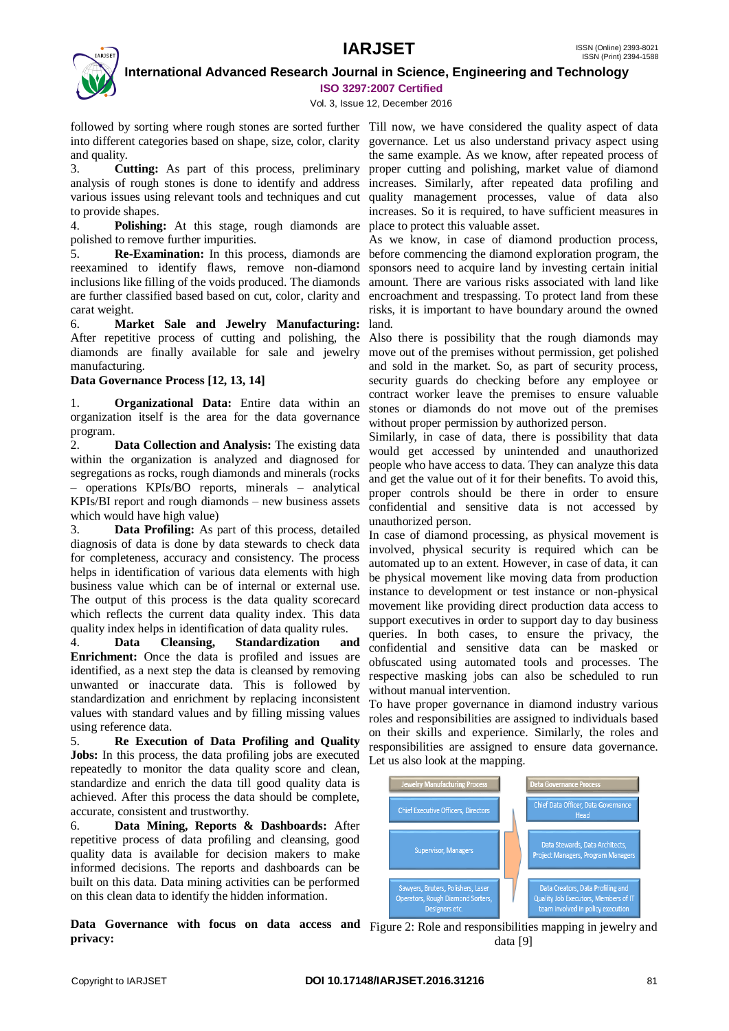# **IARJSET** ISSN (Online) 2393-8021



 **International Advanced Research Journal in Science, Engineering and Technology ISO 3297:2007 Certified**

Vol. 3, Issue 12, December 2016

followed by sorting where rough stones are sorted further Till now, we have considered the quality aspect of data into different categories based on shape, size, color, clarity governance. Let us also understand privacy aspect using and quality.

3. **Cutting:** As part of this process, preliminary proper cutting and polishing, market value of diamond analysis of rough stones is done to identify and address increases. Similarly, after repeated data profiling and various issues using relevant tools and techniques and cut quality management processes, value of data also to provide shapes.

4. **Polishing:** At this stage, rough diamonds are place to protect this valuable asset. polished to remove further impurities.

5. **Re-Examination:** In this process, diamonds are reexamined to identify flaws, remove non-diamond inclusions like filling of the voids produced. The diamonds are further classified based based on cut, color, clarity and carat weight.

6. **Market Sale and Jewelry Manufacturing:** After repetitive process of cutting and polishing, the diamonds are finally available for sale and jewelry manufacturing.

### **Data Governance Process [12, 13, 14]**

1. **Organizational Data:** Entire data within an organization itself is the area for the data governance program.

2. **Data Collection and Analysis:** The existing data within the organization is analyzed and diagnosed for segregations as rocks, rough diamonds and minerals (rocks – operations KPIs/BO reports, minerals – analytical KPIs/BI report and rough diamonds – new business assets which would have high value)

3. **Data Profiling:** As part of this process, detailed diagnosis of data is done by data stewards to check data for completeness, accuracy and consistency. The process helps in identification of various data elements with high business value which can be of internal or external use. The output of this process is the data quality scorecard which reflects the current data quality index. This data quality index helps in identification of data quality rules.

4. **Data Cleansing, Standardization and Enrichment:** Once the data is profiled and issues are identified, as a next step the data is cleansed by removing unwanted or inaccurate data. This is followed by standardization and enrichment by replacing inconsistent values with standard values and by filling missing values using reference data.

5. **Re Execution of Data Profiling and Quality Jobs:** In this process, the data profiling jobs are executed repeatedly to monitor the data quality score and clean, standardize and enrich the data till good quality data is achieved. After this process the data should be complete, accurate, consistent and trustworthy.

6. **Data Mining, Reports & Dashboards:** After repetitive process of data profiling and cleansing, good quality data is available for decision makers to make informed decisions. The reports and dashboards can be built on this data. Data mining activities can be performed on this clean data to identify the hidden information.

Data Governance with focus on data access and Figure 2: Role and responsibilities mapping in jewelry and **privacy:** 

the same example. As we know, after repeated process of increases. So it is required, to have sufficient measures in

As we know, in case of diamond production process, before commencing the diamond exploration program, the sponsors need to acquire land by investing certain initial amount. There are various risks associated with land like encroachment and trespassing. To protect land from these risks, it is important to have boundary around the owned land.

Also there is possibility that the rough diamonds may move out of the premises without permission, get polished and sold in the market. So, as part of security process, security guards do checking before any employee or contract worker leave the premises to ensure valuable stones or diamonds do not move out of the premises without proper permission by authorized person.

Similarly, in case of data, there is possibility that data would get accessed by unintended and unauthorized people who have access to data. They can analyze this data and get the value out of it for their benefits. To avoid this, proper controls should be there in order to ensure confidential and sensitive data is not accessed by unauthorized person.

In case of diamond processing, as physical movement is involved, physical security is required which can be automated up to an extent. However, in case of data, it can be physical movement like moving data from production instance to development or test instance or non-physical movement like providing direct production data access to support executives in order to support day to day business queries. In both cases, to ensure the privacy, the confidential and sensitive data can be masked or obfuscated using automated tools and processes. The respective masking jobs can also be scheduled to run without manual intervention.

To have proper governance in diamond industry various roles and responsibilities are assigned to individuals based on their skills and experience. Similarly, the roles and responsibilities are assigned to ensure data governance. Let us also look at the mapping.